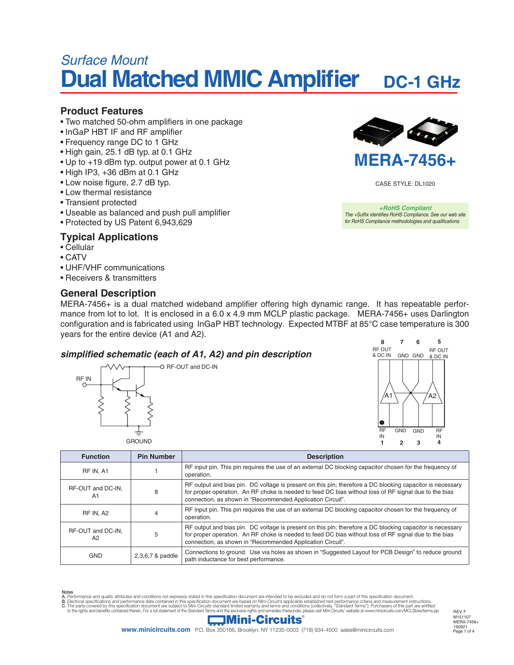# *Surface Mount* **Dual Matched MMIC Amplifier** DC-1 GHz

#### **Product Features**

- Two matched 50-ohm amplifiers in one package
- InGaP HBT IF and RF amplifier
- Frequency range DC to 1 GHz
- High gain, 25.1 dB typ. at 0.1 GHz
- Up to +19 dBm typ. output power at 0.1 GHz
- High IP3, +36 dBm at 0.1 GHz
- Low noise figure, 2.7 dB typ.
- Low thermal resistance
- Transient protected
- Useable as balanced and push pull amplifier
- Protected by US Patent 6,943,629

## **Typical Applications**

- Cellular
- CATV
- UHF/VHF communications
- Receivers & transmitters

#### **General Description**



CASE STYLE: DL1020

*+RoHS Compliant The +Suffix identifies RoHS Compliance. See our web site for RoHS Compliance methodologies and qualifications*

MERA-7456+ is a dual matched wideband amplifier offering high dynamic range. It has repeatable performance from lot to lot. It is enclosed in a 6.0 x 4.9 mm MCLP plastic package. MERA-7456+ uses Darlington configuration and is fabricated using InGaP HBT technology. Expected MTBF at 85°C case temperature is 300 years for the entire device (A1 and A2).

# **simplified schematic (each of A1, A2) and pin description**





| <b>Function</b>                          | <b>Pin Number</b> | <b>Description</b>                                                                                                                                                                                                                                                               |
|------------------------------------------|-------------------|----------------------------------------------------------------------------------------------------------------------------------------------------------------------------------------------------------------------------------------------------------------------------------|
| RF IN, A1                                |                   | RF input pin. This pin requires the use of an external DC blocking capacitor chosen for the frequency of<br>operation.                                                                                                                                                           |
| RF-OUT and DC-IN.<br>A1                  | 8                 | RF output and bias pin. DC voltage is present on this pin; therefore a DC blocking capacitor is necessary<br>for proper operation. An RF choke is needed to feed DC bias without loss of RF signal due to the bias<br>connection, as shown in "Recommended Application Circuit". |
| RF IN. A2                                |                   | RF input pin. This pin requires the use of an external DC blocking capacitor chosen for the frequency of<br>operation.                                                                                                                                                           |
| RF-OUT and DC-IN.<br>5<br>A <sub>2</sub> |                   | RF output and bias pin. DC voltage is present on this pin; therefore a DC blocking capacitor is necessary<br>for proper operation. An RF choke is needed to feed DC bias without loss of RF signal due to the bias<br>connection, as shown in "Recommended Application Circuit". |
| <b>GND</b>                               | 2,3,6,7 & paddle  | Connections to ground. Use via holes as shown in "Suggested Layout for PCB Design" to reduce ground<br>path inductance for best performance.                                                                                                                                     |

Notes<br>A. Performance and quality attributes and conditions not expressly stated in this specification document are intended to be excluded and do not form a part of this specification document.<br>B. Electrical specifications

# **Mini-Circuits**

**www.minicircuits.com** P.O. Box 350166, Brooklyn, NY 11235-0003 (718) 934-4500 sales@minicircuits.com

Page 1 of 4 150921 REV. F M151107 MERA-7456+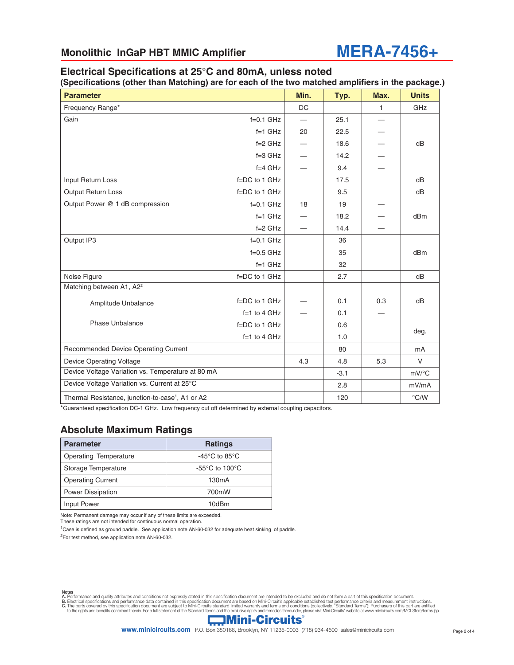

# **Electrical Specifications at 25°C and 80mA, unless noted**

**(Specifications (other than Matching) are for each of the two matched amplifiers in the package.)**

| <b>Parameter</b>                                             |                   | Min.              | Typ. | Max.                | <b>Units</b>    |
|--------------------------------------------------------------|-------------------|-------------------|------|---------------------|-----------------|
| Frequency Range*                                             |                   | <b>DC</b>         |      | $\mathbf{1}$        | GHz             |
| Gain                                                         | $f=0.1$ GHz       | $\hspace{0.05cm}$ | 25.1 |                     |                 |
|                                                              | $f=1$ GHz         | 20                | 22.5 |                     |                 |
|                                                              | $f = 2$ GHz       |                   | 18.6 |                     | dB              |
|                                                              | $f = 3$ GHz       |                   | 14.2 |                     |                 |
|                                                              | $f=4$ GHz         |                   | 9.4  |                     |                 |
| Input Return Loss                                            | f=DC to 1 GHz     |                   | 17.5 |                     | dB              |
| Output Return Loss                                           | f=DC to 1 GHz     |                   | 9.5  |                     | dB              |
| Output Power @ 1 dB compression                              | $f=0.1$ GHz       | 18                | 19   |                     |                 |
|                                                              | $f=1$ GHz         |                   | 18.2 |                     | d <sub>Bm</sub> |
|                                                              | $f = 2$ GHz       |                   | 14.4 |                     |                 |
| Output IP3                                                   | $f=0.1$ GHz       |                   | 36   |                     |                 |
|                                                              | $f=0.5$ GHz       |                   | 35   |                     | dB <sub>m</sub> |
|                                                              | $f=1$ GHz         |                   | 32   |                     |                 |
| Noise Figure                                                 | f=DC to 1 GHz     |                   | 2.7  |                     | dB              |
| Matching between A1, A2 <sup>2</sup>                         |                   |                   |      |                     |                 |
| Amplitude Unbalance                                          | f=DC to 1 GHz     |                   | 0.1  | 0.3                 | dB              |
|                                                              | $f=1$ to 4 GHz    |                   | 0.1  |                     |                 |
| <b>Phase Unbalance</b>                                       | $f = DC$ to 1 GHz |                   | 0.6  |                     |                 |
|                                                              | $f=1$ to 4 GHz    |                   | 1.0  |                     | deg.            |
| Recommended Device Operating Current                         |                   |                   | 80   |                     | mA              |
| <b>Device Operating Voltage</b>                              |                   | 4.3               | 4.8  | 5.3                 | $\vee$          |
| Device Voltage Variation vs. Temperature at 80 mA            |                   | $-3.1$            |      | $mV$ <sup>o</sup> C |                 |
| Device Voltage Variation vs. Current at 25°C                 |                   | 2.8               |      | mV/mA               |                 |
| Thermal Resistance, junction-to-case <sup>1</sup> , A1 or A2 |                   |                   | 120  |                     | $\degree$ C/W   |

\*Guaranteed specification DC-1 GHz. Low frequency cut off determined by external coupling capacitors.

#### **Absolute Maximum Ratings**

| <b>Parameter</b>         | <b>Ratings</b>                                       |  |
|--------------------------|------------------------------------------------------|--|
| Operating Temperature    | -45 $\mathrm{^{\circ}C}$ to 85 $\mathrm{^{\circ}C}$  |  |
| Storage Temperature      | -55 $\mathrm{^{\circ}C}$ to 100 $\mathrm{^{\circ}C}$ |  |
| <b>Operating Current</b> | 130 <sub>m</sub> A                                   |  |
| <b>Power Dissipation</b> | 700mW                                                |  |
| <b>Input Power</b>       | 10dBm                                                |  |

Note: Permanent damage may occur if any of these limits are exceeded. These ratings are not intended for continuous normal operation.

<sup>1</sup>Case is defined as ground paddle. See application note AN-60-032 for adequate heat sinking of paddle.

<sup>2</sup>For test method, see application note AN-60-032.

Notes<br>A. Performance and quality attributes and conditions not expressly stated in this specification document are intended to be excluded and do not form a part of this specification document.<br>B. Electrical specifications

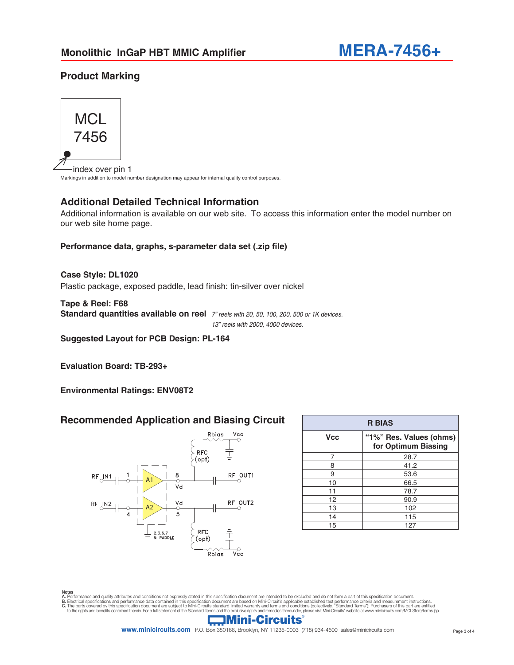# **Product Marking**



index over pin 1 Markings in addition to model number designation may appear for internal quality control purposes.

## **Additional Detailed Technical Information**

Additional information is available on our web site. To access this information enter the model number on our web site home page.

#### **Performance data, graphs, s-parameter data set (.zip file)**

Plastic package, exposed paddle, lead finish: tin-silver over nickel **Case Style: DL1020**

**Tape & Reel: F68 Standard quantities available on reel** *7" reels with 20, 50, 100, 200, 500 or 1K devices.* *13" reels with 2000, 4000 devices.*

**Suggested Layout for PCB Design: PL-164**

**Evaluation Board: TB-293+**

**Environmental Ratings: ENV08T2**

#### **Recommended Application and Biasing Circuit**



| <b>R BIAS</b> |                                                |  |  |  |  |
|---------------|------------------------------------------------|--|--|--|--|
| <b>Vcc</b>    | "1%" Res. Values (ohms)<br>for Optimum Biasing |  |  |  |  |
| 7             | 28.7                                           |  |  |  |  |
| 8             | 41.2                                           |  |  |  |  |
| 9             | 53.6                                           |  |  |  |  |
| 10            | 66.5                                           |  |  |  |  |
| 11            | 78.7                                           |  |  |  |  |
| 12            | 90.9                                           |  |  |  |  |
| 13            | 102                                            |  |  |  |  |
| 14            | 115                                            |  |  |  |  |
| 15            | 127                                            |  |  |  |  |

Notes<br>A. Performance and quality attributes and conditions not expressly stated in this specification document are intended to be excluded and do not form a part of this specification document.<br>B. Electrical specifications

# **Mini-Circuits**

**www.minicircuits.com** P.O. Box 350166, Brooklyn, NY 11235-0003 (718) 934-4500 sales@minicircuits.com Page 3 of 4